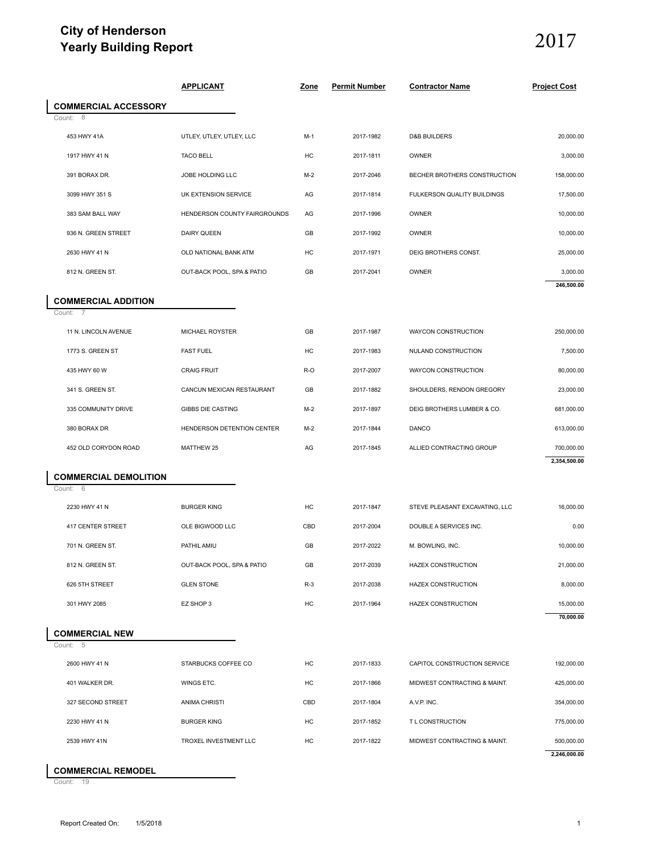## **City of Henderson Yearly Building Report**

# 2017

| Yearly Building Report                                 |                              |       |                      |                                |                     |  |
|--------------------------------------------------------|------------------------------|-------|----------------------|--------------------------------|---------------------|--|
|                                                        | <b>APPLICANT</b>             | Zone  | <b>Permit Number</b> | <b>Contractor Name</b>         | <b>Project Cost</b> |  |
| <b>COMMERCIAL ACCESSORY</b>                            |                              |       |                      |                                |                     |  |
| Count:<br>- 8                                          |                              |       |                      |                                |                     |  |
| 453 HWY 41A                                            | UTLEY, UTLEY, UTLEY, LLC     | $M-1$ | 2017-1982            | <b>D&amp;B BUILDERS</b>        | 20,000.00           |  |
| 1917 HWY 41 N                                          | <b>TACO BELL</b>             | HC    | 2017-1811            | OWNER                          | 3,000.00            |  |
| 391 BORAX DR.                                          | JOBE HOLDING LLC             | $M-2$ | 2017-2046            | BECHER BROTHERS CONSTRUCTION   | 158,000.00          |  |
| 3099 HWY 351 S                                         | UK EXTENSION SERVICE         | AG    | 2017-1814            | FULKERSON QUALITY BUILDINGS    | 17,500.00           |  |
| 383 SAM BALL WAY                                       | HENDERSON COUNTY FAIRGROUNDS | AG    | 2017-1996            | OWNER                          | 10,000.00           |  |
| 936 N. GREEN STREET                                    | DAIRY QUEEN                  | GB    | 2017-1992            | OWNER                          | 10,000.00           |  |
| 2630 HWY 41 N                                          | OLD NATIONAL BANK ATM        | HC    | 2017-1971            | DEIG BROTHERS CONST.           | 25,000.00           |  |
| 812 N. GREEN ST.                                       | OUT-BACK POOL, SPA & PATIO   | GB    | 2017-2041            | OWNER                          | 3,000.00            |  |
|                                                        |                              |       |                      |                                | 246,500.00          |  |
| <b>COMMERCIAL ADDITION</b><br>Count:<br>$\overline{7}$ |                              |       |                      |                                |                     |  |
| 11 N. LINCOLN AVENUE                                   | MICHAEL ROYSTER              | GB    | 2017-1987            | WAYCON CONSTRUCTION            | 250,000.00          |  |
| 1773 S. GREEN ST                                       | <b>FAST FUEL</b>             | HC    | 2017-1983            | NULAND CONSTRUCTION            | 7,500.00            |  |
| 435 HWY 60 W                                           | <b>CRAIG FRUIT</b>           | R-O   | 2017-2007            | WAYCON CONSTRUCTION            | 80,000.00           |  |
| 341 S. GREEN ST.                                       | CANCUN MEXICAN RESTAURANT    | GB    | 2017-1882            | SHOULDERS, RENDON GREGORY      | 23,000.00           |  |
| 335 COMMUNITY DRIVE                                    | <b>GIBBS DIE CASTING</b>     | $M-2$ | 2017-1897            | DEIG BROTHERS LUMBER & CO.     | 681,000.00          |  |
| 380 BORAX DR                                           | HENDERSON DETENTION CENTER   | $M-2$ | 2017-1844            | <b>DANCO</b>                   | 613,000.00          |  |
| 452 OLD CORYDON ROAD                                   | MATTHEW 25                   | AG    | 2017-1845            | ALLIED CONTRACTING GROUP       | 700,000.00          |  |
|                                                        |                              |       |                      |                                | 2,354,500.00        |  |
| <b>COMMERCIAL DEMOLITION</b><br>Count:<br>- 6          |                              |       |                      |                                |                     |  |
| 2230 HWY 41 N                                          | <b>BURGER KING</b>           | HC    | 2017-1847            | STEVE PLEASANT EXCAVATING, LLC | 16,000.00           |  |
| 417 CENTER STREET                                      | OLE BIGWOOD LLC              | CBD   | 2017-2004            | DOUBLE A SERVICES INC.         | 0.00                |  |
| 701 N. GREEN ST.                                       | PATHIL AMIU                  | GB    | 2017-2022            | M. BOWLING, INC.               | 10,000.00           |  |
| 812 N. GREEN ST.                                       | OUT-BACK POOL, SPA & PATIO   | GB    | 2017-2039            | <b>HAZEX CONSTRUCTION</b>      | 21,000.00           |  |
| 626 5TH STREET                                         | <b>GLEN STONE</b>            | $R-3$ | 2017-2038            | <b>HAZEX CONSTRUCTION</b>      | 8,000.00            |  |
| 301 HWY 2085                                           | EZ SHOP 3                    | HC    | 2017-1964            | <b>HAZEX CONSTRUCTION</b>      | 15,000.00           |  |
|                                                        |                              |       |                      |                                | 70,000.00           |  |
| <b>COMMERCIAL NEW</b><br>Count: 5                      |                              |       |                      |                                |                     |  |
| 2600 HWY 41 N                                          | STARBUCKS COFFEE CO          | HC    | 2017-1833            | CAPITOL CONSTRUCTION SERVICE   | 192,000.00          |  |
| 401 WALKER DR.                                         | WINGS ETC.                   | HC    | 2017-1866            | MIDWEST CONTRACTING & MAINT.   | 425,000.00          |  |
| 327 SECOND STREET                                      | <b>ANIMA CHRISTI</b>         | CBD   | 2017-1804            | A.V.P. INC.                    | 354,000.00          |  |
| 2230 HWY 41 N                                          | <b>BURGER KING</b>           | HC    | 2017-1852            | T L CONSTRUCTION               | 775,000.00          |  |
|                                                        |                              |       |                      |                                |                     |  |
| 2539 HWY 41N                                           | TROXEL INVESTMENT LLC        | HC    | 2017-1822            | MIDWEST CONTRACTING & MAINT.   | 500,000.00          |  |

## **COMMERCIAL REMODEL**

Count: 19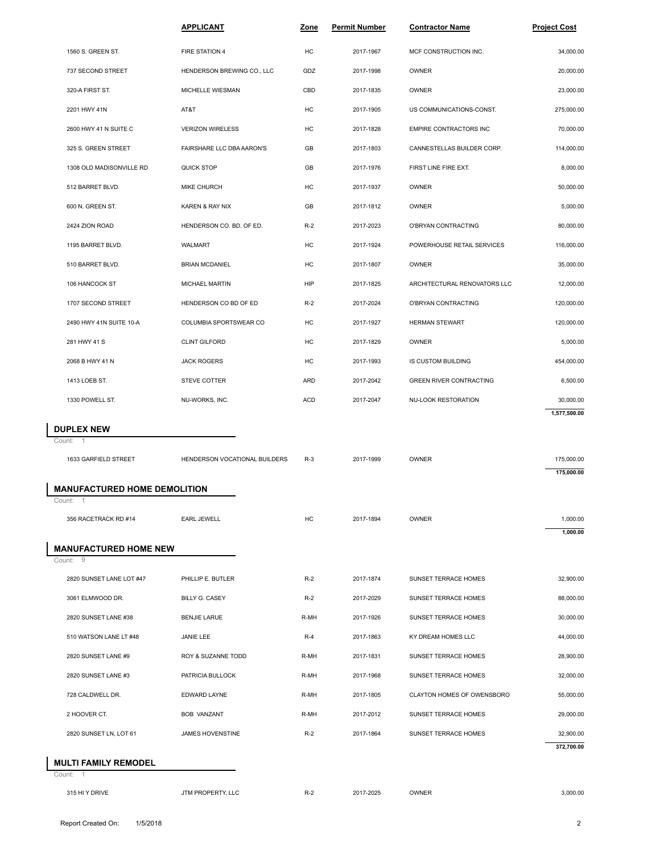|                                               | <b>APPLICANT</b>              | Zone       | <b>Permit Number</b> | <b>Contractor Name</b>         | <b>Project Cost</b> |  |
|-----------------------------------------------|-------------------------------|------------|----------------------|--------------------------------|---------------------|--|
| 1560 S. GREEN ST.                             | FIRE STATION 4                | HC         | 2017-1967            | MCF CONSTRUCTION INC.          | 34,000.00           |  |
| 737 SECOND STREET                             | HENDERSON BREWING CO., LLC    | GDZ        | 2017-1998            | <b>OWNER</b>                   | 20,000.00           |  |
| 320-A FIRST ST.                               | MICHELLE WIESMAN              | CBD        | 2017-1835            | <b>OWNER</b>                   | 23,000.00           |  |
| 2201 HWY 41N                                  | AT&T                          | HC         | 2017-1905            | US COMMUNICATIONS-CONST.       | 275,000.00          |  |
| 2600 HWY 41 N SUITE C                         | <b>VERIZON WIRELESS</b>       | HC         | 2017-1828            | EMPIRE CONTRACTORS INC         | 70,000.00           |  |
| 325 S. GREEN STREET                           | FAIRSHARE LLC DBA AARON'S     | GB         | 2017-1803            | CANNESTELLAS BUILDER CORP.     | 114,000.00          |  |
| 1308 OLD MADISONVILLE RD                      | QUICK STOP                    | GB         | 2017-1976            | FIRST LINE FIRE EXT.           | 8,000.00            |  |
| 512 BARRET BLVD.                              | MIKE CHURCH                   | HC         | 2017-1937            | <b>OWNER</b>                   | 50,000.00           |  |
| 600 N. GREEN ST.                              | KAREN & RAY NIX               | GB         | 2017-1812            | <b>OWNER</b>                   | 5,000.00            |  |
| 2424 ZION ROAD                                | HENDERSON CO. BD. OF ED.      | $R-2$      | 2017-2023            | O'BRYAN CONTRACTING            | 80,000.00           |  |
| 1195 BARRET BLVD.                             | <b>WALMART</b>                | HC         | 2017-1924            | POWERHOUSE RETAIL SERVICES     | 116,000.00          |  |
| 510 BARRET BLVD.                              | <b>BRIAN MCDANIEL</b>         | НC         | 2017-1807            | OWNER                          | 35,000.00           |  |
| 106 HANCOCK ST                                | MICHAEL MARTIN                | <b>HIP</b> | 2017-1825            | ARCHITECTURAL RENOVATORS LLC   | 12,000.00           |  |
| 1707 SECOND STREET                            | HENDERSON CO BD OF ED         | $R-2$      | 2017-2024            | O'BRYAN CONTRACTING            | 120,000.00          |  |
| 2490 HWY 41N SUITE 10-A                       | COLUMBIA SPORTSWEAR CO        | HC         | 2017-1927            | <b>HERMAN STEWART</b>          | 120,000.00          |  |
| 281 HWY 41 S                                  | <b>CLINT GILFORD</b>          | HC         | 2017-1829            | OWNER                          | 5,000.00            |  |
| 2068 B HWY 41 N                               | <b>JACK ROGERS</b>            | HC         | 2017-1993            | IS CUSTOM BUILDING             | 454,000.00          |  |
| 1413 LOEB ST.                                 | STEVE COTTER                  | ARD        | 2017-2042            | <b>GREEN RIVER CONTRACTING</b> | 6,500.00            |  |
| 1330 POWELL ST.                               | NU-WORKS, INC.                | <b>ACD</b> | 2017-2047            | NU-LOOK RESTORATION            | 30,000.00           |  |
|                                               |                               |            |                      |                                | 1,577,500.00        |  |
| <b>DUPLEX NEW</b><br>Count:                   |                               |            |                      |                                |                     |  |
| 1633 GARFIELD STREET                          | HENDERSON VOCATIONAL BUILDERS | $R-3$      | 2017-1999            | <b>OWNER</b>                   | 175,000.00          |  |
|                                               |                               |            |                      |                                | 175,000.00          |  |
| <b>MANUFACTURED HOME DEMOLITION</b><br>Count: |                               |            |                      |                                |                     |  |
| 356 RACETRACK RD #14                          | <b>EARL JEWELL</b>            | HC         | 2017-1894            | <b>OWNER</b>                   | 1,000.00            |  |
|                                               |                               |            |                      |                                | 1,000.00            |  |
| <b>MANUFACTURED HOME NEW</b><br>Count: 9      |                               |            |                      |                                |                     |  |
| 2820 SUNSET LANE LOT #47                      | PHILLIP E. BUTLER             | $R-2$      | 2017-1874            | SUNSET TERRACE HOMES           | 32,900.00           |  |
| 3061 ELMWOOD DR.                              | <b>BILLY G. CASEY</b>         | $R-2$      | 2017-2029            | SUNSET TERRACE HOMES           | 88,000.00           |  |
| 2820 SUNSET LANE #38                          | <b>BENJIE LARUE</b>           | R-MH       | 2017-1926            | SUNSET TERRACE HOMES           | 30,000.00           |  |
| 510 WATSON LANE LT #48                        | JANIE LEE                     | $R-4$      | 2017-1863            | KY DREAM HOMES LLC             | 44,000.00           |  |
| 2820 SUNSET LANE #9                           | ROY & SUZANNE TODD            | R-MH       | 2017-1831            | SUNSET TERRACE HOMES           | 28,900.00           |  |
| 2820 SUNSET LANE #3                           | PATRICIA BULLOCK              | R-MH       | 2017-1968            | SUNSET TERRACE HOMES           | 32,000.00           |  |
| 728 CALDWELL DR.                              | <b>EDWARD LAYNE</b>           | R-MH       | 2017-1805            | CLAYTON HOMES OF OWENSBORO     | 55,000.00           |  |
| 2 HOOVER CT.                                  | <b>BOB VANZANT</b>            | R-MH       | 2017-2012            | SUNSET TERRACE HOMES           | 29,000.00           |  |
| 2820 SUNSET LN, LOT 61                        | JAMES HOVENSTINE              | $R-2$      | 2017-1864            | SUNSET TERRACE HOMES           | 32,900.00           |  |
|                                               |                               |            |                      |                                | 372,700.00          |  |
| <b>MULTI FAMILY REMODEL</b><br>Count: 1       |                               |            |                      |                                |                     |  |
| 315 HI Y DRIVE                                | JTM PROPERTY, LLC             | $R-2$      | 2017-2025            | OWNER                          | 3,000.00            |  |
|                                               |                               |            |                      |                                |                     |  |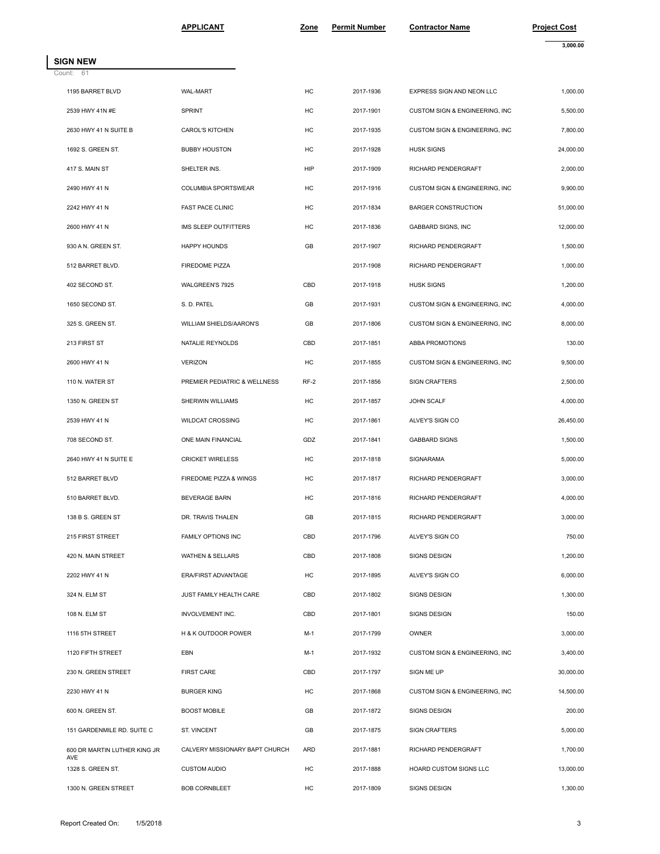**SIGN NEW**

|                              | <b>APPLICANT</b>               | Zone   | <b>Permit Number</b> | <b>Contractor Name</b>                     | <b>Project Cost</b><br>3,000.00 |
|------------------------------|--------------------------------|--------|----------------------|--------------------------------------------|---------------------------------|
| SIGN NEW                     |                                |        |                      |                                            |                                 |
| Count: 61                    |                                |        |                      |                                            |                                 |
| 1195 BARRET BLVD             | <b>WAL-MART</b>                | HC     | 2017-1936            | EXPRESS SIGN AND NEON LLC                  | 1,000.00                        |
| 2539 HWY 41N #E              | SPRINT                         | HC     | 2017-1901            | <b>CUSTOM SIGN &amp; ENGINEERING. INC.</b> | 5,500.00                        |
| 2630 HWY 41 N SUITE B        | <b>CAROL'S KITCHEN</b>         | HC     | 2017-1935            | CUSTOM SIGN & ENGINEERING, INC             | 7,800.00                        |
| 1692 S. GREEN ST.            | <b>BUBBY HOUSTON</b>           | HC     | 2017-1928            | <b>HUSK SIGNS</b>                          | 24,000.00                       |
| 417 S. MAIN ST               | SHELTER INS.                   | HIP    | 2017-1909            | RICHARD PENDERGRAFT                        | 2,000.00                        |
| 2490 HWY 41 N                | COLUMBIA SPORTSWEAR            | HC     | 2017-1916            | CUSTOM SIGN & ENGINEERING, INC             | 9,900.00                        |
| 2242 HWY 41 N                | <b>FAST PACE CLINIC</b>        | HC     | 2017-1834            | <b>BARGER CONSTRUCTION</b>                 | 51,000.00                       |
| 2600 HWY 41 N                | IMS SLEEP OUTFITTERS           | HC     | 2017-1836            | GABBARD SIGNS, INC                         | 12,000.00                       |
| 930 A N. GREEN ST.           | <b>HAPPY HOUNDS</b>            | GB     | 2017-1907            | RICHARD PENDERGRAFT                        | 1,500.00                        |
| 512 BARRET BLVD.             | FIREDOME PIZZA                 |        | 2017-1908            | RICHARD PENDERGRAFT                        | 1,000.00                        |
| 402 SECOND ST.               | WALGREEN'S 7925                | CBD    | 2017-1918            | <b>HUSK SIGNS</b>                          | 1,200.00                        |
| 1650 SECOND ST.              | S. D. PATEL                    | GB     | 2017-1931            | CUSTOM SIGN & ENGINEERING, INC             | 4,000.00                        |
| 325 S. GREEN ST.             | WILLIAM SHIELDS/AARON'S        | GB     | 2017-1806            | CUSTOM SIGN & ENGINEERING, INC             | 8,000.00                        |
| 213 FIRST ST                 | NATALIE REYNOLDS               | CBD    | 2017-1851            | ABBA PROMOTIONS                            | 130.00                          |
| 2600 HWY 41 N                | <b>VERIZON</b>                 | HC     | 2017-1855            | CUSTOM SIGN & ENGINEERING, INC             | 9,500.00                        |
| 110 N. WATER ST              | PREMIER PEDIATRIC & WELLNESS   | $RF-2$ | 2017-1856            | <b>SIGN CRAFTERS</b>                       | 2,500.00                        |
| 1350 N. GREEN ST             | SHERWIN WILLIAMS               | HC     | 2017-1857            | JOHN SCALF                                 | 4,000.00                        |
| 2539 HWY 41 N                | <b>WILDCAT CROSSING</b>        | HC     | 2017-1861            | ALVEY'S SIGN CO                            | 26,450.00                       |
| 708 SECOND ST.               | ONE MAIN FINANCIAL             | GDZ    | 2017-1841            | <b>GABBARD SIGNS</b>                       | 1,500.00                        |
| 2640 HWY 41 N SUITE E        | <b>CRICKET WIRELESS</b>        | HC     | 2017-1818            | SIGNARAMA                                  | 5,000.00                        |
| 512 BARRET BLVD              | FIREDOME PIZZA & WINGS         | HC     | 2017-1817            | RICHARD PENDERGRAFT                        | 3,000.00                        |
| 510 BARRET BLVD.             | <b>BEVERAGE BARN</b>           | HC     | 2017-1816            | RICHARD PENDERGRAFT                        | 4,000.00                        |
| 138 B S. GREEN ST            | DR. TRAVIS THALEN              | GB     | 2017-1815            | RICHARD PENDERGRAFT                        | 3,000.00                        |
| 215 FIRST STREET             | FAMILY OPTIONS INC             | CBD    | 2017-1796            | ALVEY'S SIGN CO                            | 750.00                          |
| 420 N. MAIN STREET           | <b>WATHEN &amp; SELLARS</b>    | CBD    | 2017-1808            | SIGNS DESIGN                               | 1,200.00                        |
| 2202 HWY 41 N                | ERA/FIRST ADVANTAGE            | HC     | 2017-1895            | ALVEY'S SIGN CO                            | 6,000.00                        |
| 324 N. ELM ST                | JUST FAMILY HEALTH CARE        | CBD    | 2017-1802            | SIGNS DESIGN                               | 1,300.00                        |
| 108 N. ELM ST                | INVOLVEMENT INC.               | CBD    | 2017-1801            | SIGNS DESIGN                               | 150.00                          |
| 1116 5TH STREET              | H & K OUTDOOR POWER            | M-1    | 2017-1799            | <b>OWNER</b>                               | 3,000.00                        |
| 1120 FIFTH STREET            | EBN                            | M-1    | 2017-1932            | CUSTOM SIGN & ENGINEERING, INC             | 3,400.00                        |
| 230 N. GREEN STREET          | <b>FIRST CARE</b>              | CBD    | 2017-1797            | SIGN ME UP                                 | 30,000.00                       |
| 2230 HWY 41 N                | <b>BURGER KING</b>             | HC     | 2017-1868            | CUSTOM SIGN & ENGINEERING, INC             | 14,500.00                       |
| 600 N. GREEN ST.             | <b>BOOST MOBILE</b>            | GB     | 2017-1872            | SIGNS DESIGN                               | 200.00                          |
| 151 GARDENMILE RD. SUITE C   | ST. VINCENT                    | GB     | 2017-1875            | <b>SIGN CRAFTERS</b>                       | 5,000.00                        |
| 600 DR MARTIN LUTHER KING JR | CALVERY MISSIONARY BAPT CHURCH | ARD    | 2017-1881            | RICHARD PENDERGRAFT                        | 1,700.00                        |
| AVE<br>1328 S. GREEN ST.     | <b>CUSTOM AUDIO</b>            | HC     | 2017-1888            | HOARD CUSTOM SIGNS LLC                     | 13,000.00                       |
| 1300 N. GREEN STREET         | <b>BOB CORNBLEET</b>           | HC     | 2017-1809            | SIGNS DESIGN                               | 1,300.00                        |
|                              |                                |        |                      |                                            |                                 |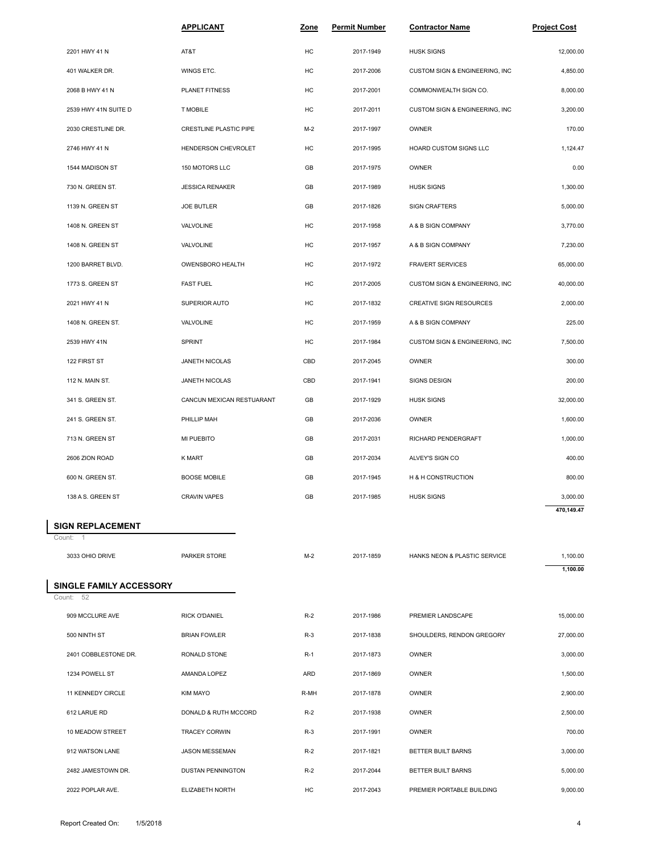|                                     | <b>APPLICANT</b>              | Zone       | <b>Permit Number</b> | <b>Contractor Name</b>         | <b>Project Cost</b> |
|-------------------------------------|-------------------------------|------------|----------------------|--------------------------------|---------------------|
| 2201 HWY 41 N                       | AT&T                          | HC         | 2017-1949            | <b>HUSK SIGNS</b>              | 12,000.00           |
| 401 WALKER DR.                      | WINGS ETC.                    | HC         | 2017-2006            | CUSTOM SIGN & ENGINEERING, INC | 4,850.00            |
| 2068 B HWY 41 N                     | <b>PLANET FITNESS</b>         | HC         | 2017-2001            | COMMONWEALTH SIGN CO.          | 8,000.00            |
| 2539 HWY 41N SUITE D                | <b>T MOBILE</b>               | HC         | 2017-2011            | CUSTOM SIGN & ENGINEERING, INC | 3,200.00            |
| 2030 CRESTLINE DR.                  | <b>CRESTLINE PLASTIC PIPE</b> | $M-2$      | 2017-1997            | <b>OWNER</b>                   | 170.00              |
| 2746 HWY 41 N                       | HENDERSON CHEVROLET           | HC         | 2017-1995            | HOARD CUSTOM SIGNS LLC         | 1,124.47            |
| 1544 MADISON ST                     | 150 MOTORS LLC                | GB         | 2017-1975            | <b>OWNER</b>                   | 0.00                |
| 730 N. GREEN ST.                    | <b>JESSICA RENAKER</b>        | GB         | 2017-1989            | <b>HUSK SIGNS</b>              | 1,300.00            |
| 1139 N. GREEN ST                    | <b>JOE BUTLER</b>             | GB         | 2017-1826            | <b>SIGN CRAFTERS</b>           | 5,000.00            |
| 1408 N. GREEN ST                    | VALVOLINE                     | HC         | 2017-1958            | A & B SIGN COMPANY             | 3,770.00            |
| 1408 N. GREEN ST                    | VALVOLINE                     | HC         | 2017-1957            | A & B SIGN COMPANY             | 7,230.00            |
| 1200 BARRET BLVD.                   | OWENSBORO HEALTH              | НC         | 2017-1972            | <b>FRAVERT SERVICES</b>        | 65,000.00           |
| 1773 S. GREEN ST                    | <b>FAST FUEL</b>              | HC         | 2017-2005            | CUSTOM SIGN & ENGINEERING, INC | 40,000.00           |
| 2021 HWY 41 N                       | SUPERIOR AUTO                 | HC         | 2017-1832            | <b>CREATIVE SIGN RESOURCES</b> | 2,000.00            |
| 1408 N. GREEN ST.                   | VALVOLINE                     | НC         | 2017-1959            | A & B SIGN COMPANY             | 225.00              |
| 2539 HWY 41N                        | SPRINT                        | HC         | 2017-1984            | CUSTOM SIGN & ENGINEERING, INC | 7,500.00            |
| 122 FIRST ST                        | JANETH NICOLAS                | CBD        | 2017-2045            | OWNER                          | 300.00              |
| 112 N. MAIN ST.                     | JANETH NICOLAS                | CBD        | 2017-1941            | SIGNS DESIGN                   | 200.00              |
| 341 S. GREEN ST.                    | CANCUN MEXICAN RESTUARANT     | GB         | 2017-1929            | <b>HUSK SIGNS</b>              | 32,000.00           |
| 241 S. GREEN ST.                    | PHILLIP MAH                   | GB         | 2017-2036            | OWNER                          | 1,600.00            |
| 713 N. GREEN ST                     | <b>MI PUEBITO</b>             | GB         | 2017-2031            | RICHARD PENDERGRAFT            | 1,000.00            |
| 2606 ZION ROAD                      | K MART                        | GB         | 2017-2034            | ALVEY'S SIGN CO                | 400.00              |
| 600 N. GREEN ST.                    | <b>BOOSE MOBILE</b>           | GB         | 2017-1945            | H & H CONSTRUCTION             | 800.00              |
| 138 A S. GREEN ST                   | <b>CRAVIN VAPES</b>           | GB         | 2017-1985            | <b>HUSK SIGNS</b>              | 3,000.00            |
|                                     |                               |            |                      |                                | 470,149.47          |
| <b>SIGN REPLACEMENT</b><br>Count: 1 |                               |            |                      |                                |                     |
| 3033 OHIO DRIVE                     | PARKER STORE                  | $M-2$      | 2017-1859            | HANKS NEON & PLASTIC SERVICE   | 1,100.00            |
| <b>SINGLE FAMILY ACCESSORY</b>      |                               |            |                      |                                | 1,100.00            |
| Count: 52                           |                               |            |                      |                                |                     |
| 909 MCCLURE AVE                     | <b>RICK O'DANIEL</b>          | $R-2$      | 2017-1986            | PREMIER LANDSCAPE              | 15,000.00           |
| 500 NINTH ST                        | <b>BRIAN FOWLER</b>           | $R-3$      | 2017-1838            | SHOULDERS, RENDON GREGORY      | 27,000.00           |
| 2401 COBBLESTONE DR.                | <b>RONALD STONE</b>           | <b>R-1</b> | 2017-1873            | OWNER                          | 3,000.00            |
| 1234 POWELL ST                      | AMANDA LOPEZ                  | ARD        | 2017-1869            | OWNER                          | 1,500.00            |
| 11 KENNEDY CIRCLE                   | <b>KIM MAYO</b>               | R-MH       | 2017-1878            | OWNER                          | 2,900.00            |
| 612 LARUE RD                        | DONALD & RUTH MCCORD          | $R-2$      | 2017-1938            | OWNER                          | 2,500.00            |
| 10 MEADOW STREET                    | <b>TRACEY CORWIN</b>          | $R-3$      | 2017-1991            | <b>OWNER</b>                   | 700.00              |
| 912 WATSON LANE                     | JASON MESSEMAN                | $R-2$      | 2017-1821            | BETTER BUILT BARNS             | 3,000.00            |
| 2482 JAMESTOWN DR.                  | DUSTAN PENNINGTON             | $R-2$      | 2017-2044            | BETTER BUILT BARNS             | 5,000.00            |
| 2022 POPLAR AVE.                    | ELIZABETH NORTH               | HC         | 2017-2043            | PREMIER PORTABLE BUILDING      | 9,000.00            |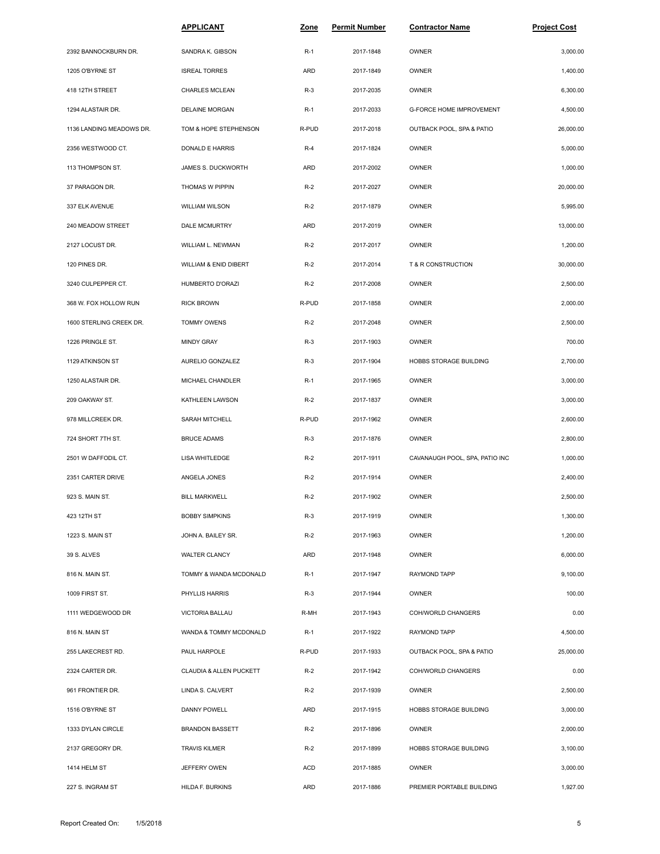|                          | <b>APPLICANT</b>        | <u>Zone</u> | <b>Permit Number</b> | <b>Contractor Name</b>          | <b>Project Cost</b> |
|--------------------------|-------------------------|-------------|----------------------|---------------------------------|---------------------|
| 2392 BANNOCKBURN DR.     | SANDRA K. GIBSON        | $R-1$       | 2017-1848            | OWNER                           | 3,000.00            |
| 1205 O'BYRNE ST          | <b>ISREAL TORRES</b>    | ARD         | 2017-1849            | OWNER                           | 1,400.00            |
| 418 12TH STREET          | <b>CHARLES MCLEAN</b>   | $R-3$       | 2017-2035            | <b>OWNER</b>                    | 6,300.00            |
| 1294 ALASTAIR DR.        | DELAINE MORGAN          | $R-1$       | 2017-2033            | <b>G-FORCE HOME IMPROVEMENT</b> | 4,500.00            |
| 1136 LANDING MEADOWS DR. | TOM & HOPE STEPHENSON   | R-PUD       | 2017-2018            | OUTBACK POOL, SPA & PATIO       | 26,000.00           |
| 2356 WESTWOOD CT.        | DONALD E HARRIS         | $R-4$       | 2017-1824            | <b>OWNER</b>                    | 5,000.00            |
| 113 THOMPSON ST.         | JAMES S. DUCKWORTH      | ARD         | 2017-2002            | <b>OWNER</b>                    | 1,000.00            |
| 37 PARAGON DR.           | THOMAS W PIPPIN         | $R-2$       | 2017-2027            | <b>OWNER</b>                    | 20,000.00           |
| 337 ELK AVENUE           | <b>WILLIAM WILSON</b>   | $R-2$       | 2017-1879            | <b>OWNER</b>                    | 5,995.00            |
| 240 MEADOW STREET        | DALE MCMURTRY           | ARD         | 2017-2019            | OWNER                           | 13,000.00           |
| 2127 LOCUST DR.          | WILLIAM L. NEWMAN       | $R-2$       | 2017-2017            | OWNER                           | 1,200.00            |
| 120 PINES DR.            | WILLIAM & ENID DIBERT   | $R-2$       | 2017-2014            | T & R CONSTRUCTION              | 30,000.00           |
| 3240 CULPEPPER CT.       | HUMBERTO D'ORAZI        | $R-2$       | 2017-2008            | OWNER                           | 2,500.00            |
| 368 W. FOX HOLLOW RUN    | <b>RICK BROWN</b>       | R-PUD       | 2017-1858            | OWNER                           | 2,000.00            |
| 1600 STERLING CREEK DR.  | <b>TOMMY OWENS</b>      | $R-2$       | 2017-2048            | OWNER                           | 2,500.00            |
| 1226 PRINGLE ST.         | <b>MINDY GRAY</b>       | $R-3$       | 2017-1903            | OWNER                           | 700.00              |
| 1129 ATKINSON ST         | AURELIO GONZALEZ        | $R-3$       | 2017-1904            | HOBBS STORAGE BUILDING          | 2,700.00            |
| 1250 ALASTAIR DR.        | MICHAEL CHANDLER        | $R-1$       | 2017-1965            | OWNER                           | 3,000.00            |
| 209 OAKWAY ST.           | KATHLEEN LAWSON         | $R-2$       | 2017-1837            | OWNER                           | 3,000.00            |
| 978 MILLCREEK DR.        | SARAH MITCHELL          | R-PUD       | 2017-1962            | OWNER                           | 2,600.00            |
| 724 SHORT 7TH ST.        | <b>BRUCE ADAMS</b>      | $R-3$       | 2017-1876            | OWNER                           | 2,800.00            |
| 2501 W DAFFODIL CT.      | LISA WHITLEDGE          | $R-2$       | 2017-1911            | CAVANAUGH POOL, SPA, PATIO INC  | 1,000.00            |
| 2351 CARTER DRIVE        | ANGELA JONES            | $R-2$       | 2017-1914            | OWNER                           | 2,400.00            |
| 923 S. MAIN ST.          | <b>BILL MARKWELL</b>    | $R-2$       | 2017-1902            | OWNER                           | 2,500.00            |
| 423 12TH ST              | <b>BOBBY SIMPKINS</b>   | $R-3$       | 2017-1919            | OWNER                           | 1,300.00            |
| 1223 S. MAIN ST          | JOHN A. BAILEY SR.      | $R-2$       | 2017-1963            | OWNER                           | 1,200.00            |
| 39 S. ALVES              | WALTER CLANCY           | ARD         | 2017-1948            | OWNER                           | 6,000.00            |
| 816 N. MAIN ST.          | TOMMY & WANDA MCDONALD  | $R-1$       | 2017-1947            | RAYMOND TAPP                    | 9,100.00            |
| 1009 FIRST ST.           | PHYLLIS HARRIS          | $R-3$       | 2017-1944            | OWNER                           | 100.00              |
| 1111 WEDGEWOOD DR        | VICTORIA BALLAU         | R-MH        | 2017-1943            | COH/WORLD CHANGERS              | 0.00                |
| 816 N. MAIN ST           | WANDA & TOMMY MCDONALD  | $R-1$       | 2017-1922            | RAYMOND TAPP                    | 4,500.00            |
| 255 LAKECREST RD.        | PAUL HARPOLE            | R-PUD       | 2017-1933            | OUTBACK POOL, SPA & PATIO       | 25,000.00           |
| 2324 CARTER DR.          | CLAUDIA & ALLEN PUCKETT | $R-2$       | 2017-1942            | COH/WORLD CHANGERS              | 0.00                |
| 961 FRONTIER DR.         | LINDA S. CALVERT        | $R-2$       | 2017-1939            | OWNER                           | 2,500.00            |
| 1516 O'BYRNE ST          | DANNY POWELL            | ARD         | 2017-1915            | HOBBS STORAGE BUILDING          | 3,000.00            |
| 1333 DYLAN CIRCLE        | <b>BRANDON BASSETT</b>  | $R-2$       | 2017-1896            | OWNER                           | 2,000.00            |
| 2137 GREGORY DR.         | TRAVIS KILMER           | $R-2$       | 2017-1899            | HOBBS STORAGE BUILDING          | 3,100.00            |
| 1414 HELM ST             | JEFFERY OWEN            | <b>ACD</b>  | 2017-1885            | OWNER                           | 3,000.00            |
| 227 S. INGRAM ST         | HILDA F. BURKINS        | ARD         | 2017-1886            | PREMIER PORTABLE BUILDING       | 1,927.00            |
|                          |                         |             |                      |                                 |                     |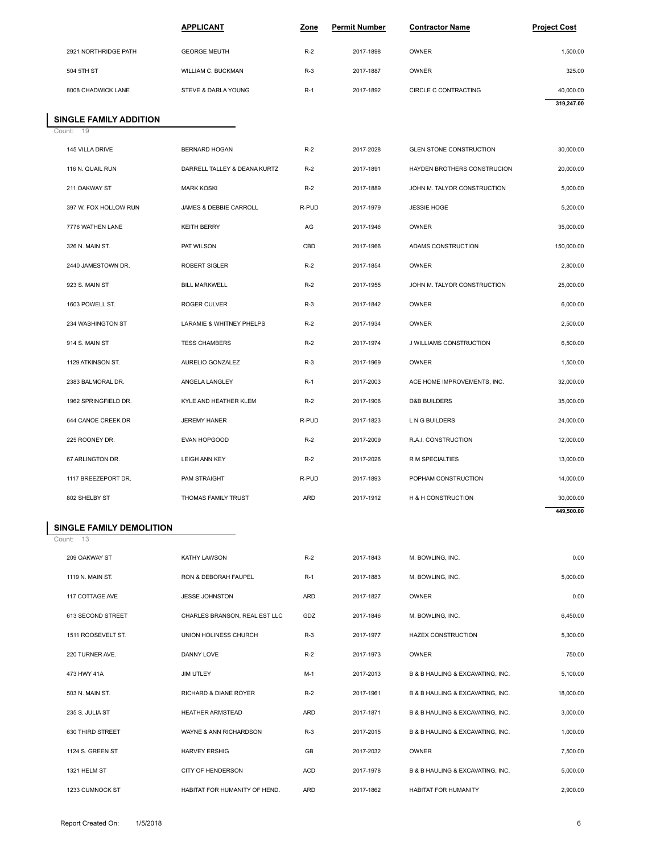|                              | <b>APPLICANT</b>             | Zone  | <b>Permit Number</b> | <b>Contractor Name</b>         | <b>Project Cost</b> |
|------------------------------|------------------------------|-------|----------------------|--------------------------------|---------------------|
| 2921 NORTHRIDGE PATH         | <b>GEORGE MEUTH</b>          | $R-2$ | 2017-1898            | OWNER                          | 1,500.00            |
| 504 5TH ST                   | WILLIAM C. BUCKMAN           | $R-3$ | 2017-1887            | OWNER                          | 325.00              |
| 8008 CHADWICK LANE           | STEVE & DARLA YOUNG          | $R-1$ | 2017-1892            | CIRCLE C CONTRACTING           | 40,000.00           |
|                              |                              |       |                      |                                | 319,247.00          |
| <b>INGLE FAMILY ADDITION</b> |                              |       |                      |                                |                     |
| ount: 19                     |                              |       |                      |                                |                     |
| 145 VILLA DRIVE              | <b>BERNARD HOGAN</b>         | $R-2$ | 2017-2028            | <b>GLEN STONE CONSTRUCTION</b> | 30,000.00           |
| 116 N. QUAIL RUN             | DARRELL TALLEY & DEANA KURTZ | $R-2$ | 2017-1891            | HAYDEN BROTHERS CONSTRUCION    | 20,000.00           |

#### Count: 19 **SINGLE FAMILY ADDITION**

| 8008 CHADWICK LANE             | STEVE & DARLA YOUNG             | $R-1$      | 2017-1892 | CIRCLE C CONTRACTING           | 40,000.00  |  |
|--------------------------------|---------------------------------|------------|-----------|--------------------------------|------------|--|
|                                |                                 |            |           |                                | 319,247.00 |  |
| <b>INGLE FAMILY ADDITION</b>   |                                 |            |           |                                |            |  |
| ount: 19                       |                                 |            |           |                                |            |  |
| 145 VILLA DRIVE                | <b>BERNARD HOGAN</b>            | $R-2$      | 2017-2028 | <b>GLEN STONE CONSTRUCTION</b> | 30,000.00  |  |
| 116 N. QUAIL RUN               | DARRELL TALLEY & DEANA KURTZ    | $R-2$      | 2017-1891 | HAYDEN BROTHERS CONSTRUCION    | 20,000.00  |  |
| 211 OAKWAY ST                  | <b>MARK KOSKI</b>               | $R-2$      | 2017-1889 | JOHN M. TALYOR CONSTRUCTION    | 5,000.00   |  |
| 397 W. FOX HOLLOW RUN          | JAMES & DEBBIE CARROLL          | R-PUD      | 2017-1979 | JESSIE HOGE                    | 5,200.00   |  |
| 7776 WATHEN LANE               | <b>KEITH BERRY</b>              | AG         | 2017-1946 | OWNER                          | 35,000.00  |  |
| 326 N. MAIN ST.                | PAT WILSON                      | CBD        | 2017-1966 | ADAMS CONSTRUCTION             | 150,000.00 |  |
| 2440 JAMESTOWN DR.             | <b>ROBERT SIGLER</b>            | $R-2$      | 2017-1854 | <b>OWNER</b>                   | 2,800.00   |  |
| 923 S. MAIN ST                 | <b>BILL MARKWELL</b>            | $R-2$      | 2017-1955 | JOHN M. TALYOR CONSTRUCTION    | 25,000.00  |  |
| 1603 POWELL ST.                | <b>ROGER CULVER</b>             | $R-3$      | 2017-1842 | OWNER                          | 6,000.00   |  |
| 234 WASHINGTON ST              | LARAMIE & WHITNEY PHELPS        | $R-2$      | 2017-1934 | OWNER                          | 2,500.00   |  |
| 914 S. MAIN ST                 | <b>TESS CHAMBERS</b>            | $R-2$      | 2017-1974 | J WILLIAMS CONSTRUCTION        | 6,500.00   |  |
| 1129 ATKINSON ST.              | AURELIO GONZALEZ                | $R-3$      | 2017-1969 | OWNER                          | 1,500.00   |  |
| 2383 BALMORAL DR.              | ANGELA LANGLEY                  | $R-1$      | 2017-2003 | ACE HOME IMPROVEMENTS, INC.    | 32,000.00  |  |
| 1962 SPRINGFIELD DR.           | KYLE AND HEATHER KLEM           | $R-2$      | 2017-1906 | <b>D&amp;B BUILDERS</b>        | 35,000.00  |  |
| 644 CANOE CREEK DR             | <b>JEREMY HANER</b>             | R-PUD      | 2017-1823 | L N G BUILDERS                 | 24,000.00  |  |
| 225 ROONEY DR.                 | EVAN HOPGOOD                    | $R-2$      | 2017-2009 | R.A.I. CONSTRUCTION            | 12,000.00  |  |
| 67 ARLINGTON DR.               | <b>LEIGH ANN KEY</b>            | $R-2$      | 2017-2026 | R M SPECIALTIES                | 13,000.00  |  |
| 1117 BREEZEPORT DR.            | PAM STRAIGHT                    | R-PUD      | 2017-1893 | POPHAM CONSTRUCTION            | 14,000.00  |  |
| 802 SHELBY ST                  | THOMAS FAMILY TRUST             | <b>ARD</b> | 2017-1912 | H & H CONSTRUCTION             | 30,000.00  |  |
|                                |                                 |            |           |                                | 449,500.00 |  |
| <b>INGLE FAMILY DEMOLITION</b> |                                 |            |           |                                |            |  |
| ount: 13                       |                                 |            |           |                                |            |  |
| 209 OAKWAY ST                  | <b>KATHY LAWSON</b>             | $R-2$      | 2017-1843 | M. BOWLING, INC.               | 0.00       |  |
| 1119 N. MAIN ST.               | <b>RON &amp; DEBORAH FAUPEL</b> | $R-1$      | 2017-1883 | M. BOWLING, INC.               | 5,000.00   |  |

### **SINGLE FAMILY DEMOLITION**

Count: 13

| 802 SHELBY ST            | THOMAS FAMILY TRUST           | <b>ARD</b> | 2017-1912 | <b>H &amp; H CONSTRUCTION</b>    | 30,000.00  |
|--------------------------|-------------------------------|------------|-----------|----------------------------------|------------|
|                          |                               |            |           |                                  | 449,500.00 |
| SINGLE FAMILY DEMOLITION |                               |            |           |                                  |            |
| Count: 13                |                               |            |           |                                  |            |
| 209 OAKWAY ST            | <b>KATHY LAWSON</b>           | $R-2$      | 2017-1843 | M. BOWLING, INC.                 | 0.00       |
| 1119 N. MAIN ST.         | RON & DEBORAH FAUPEL          | $R-1$      | 2017-1883 | M. BOWLING, INC.                 | 5.000.00   |
| 117 COTTAGE AVE          | <b>JESSE JOHNSTON</b>         | ARD        | 2017-1827 | OWNER                            | 0.00       |
| 613 SECOND STREET        | CHARLES BRANSON, REAL EST LLC | GDZ        | 2017-1846 | M. BOWLING, INC.                 | 6,450.00   |
| 1511 ROOSEVELT ST.       | UNION HOLINESS CHURCH         | $R-3$      | 2017-1977 | <b>HAZEX CONSTRUCTION</b>        | 5,300.00   |
| 220 TURNER AVE.          | DANNY LOVE                    | $R-2$      | 2017-1973 | <b>OWNER</b>                     | 750.00     |
| 473 HWY 41A              | JIM UTLEY                     | $M-1$      | 2017-2013 | B & B HAULING & EXCAVATING, INC. | 5,100.00   |
| 503 N. MAIN ST.          | RICHARD & DIANE ROYER         | $R-2$      | 2017-1961 | B & B HAULING & EXCAVATING, INC. | 18,000.00  |
| 235 S. JULIA ST          | <b>HEATHER ARMSTEAD</b>       | <b>ARD</b> | 2017-1871 | B & B HAULING & EXCAVATING, INC. | 3,000.00   |
| 630 THIRD STREET         | WAYNE & ANN RICHARDSON        | $R-3$      | 2017-2015 | B & B HAULING & EXCAVATING, INC. | 1,000.00   |
| 1124 S. GREEN ST         | <b>HARVEY ERSHIG</b>          | GB         | 2017-2032 | <b>OWNER</b>                     | 7.500.00   |
| 1321 HELM ST             | CITY OF HENDERSON             | ACD        | 2017-1978 | B & B HAULING & EXCAVATING, INC. | 5,000.00   |
| 1233 CUMNOCK ST          | HABITAT FOR HUMANITY OF HEND. | <b>ARD</b> | 2017-1862 | <b>HABITAT FOR HUMANITY</b>      | 2,900.00   |
|                          |                               |            |           |                                  |            |
|                          |                               |            |           |                                  |            |